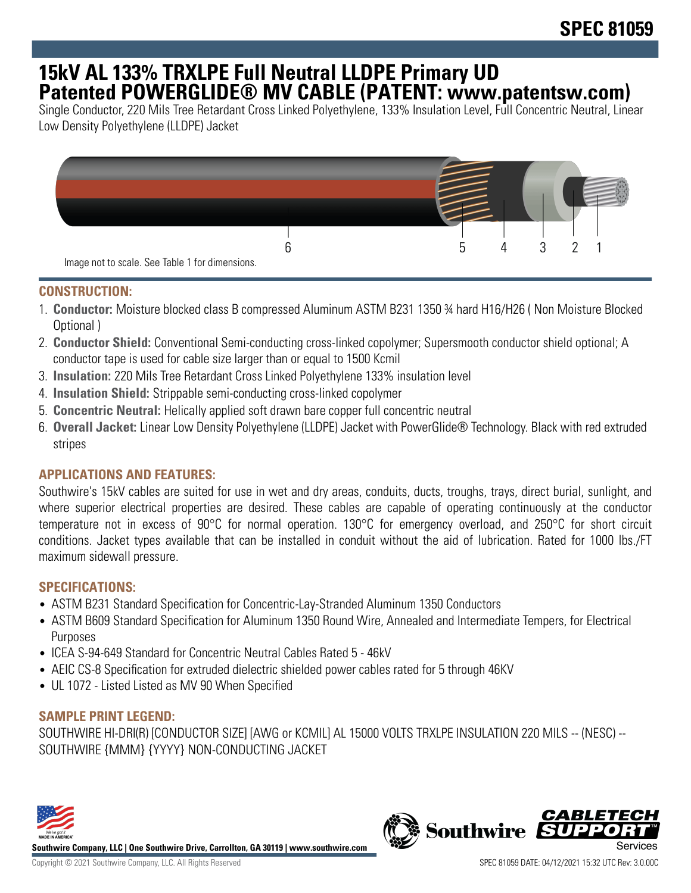# **15kV AL 133% TRXLPE Full Neutral LLDPE Primary UD Patented POWERGLIDE® MV CABLE (PATENT: www.patentsw.com)**

Single Conductor, 220 Mils Tree Retardant Cross Linked Polyethylene, 133% Insulation Level, Full Concentric Neutral, Linear Low Density Polyethylene (LLDPE) Jacket



### **CONSTRUCTION:**

- 1. **Conductor:** Moisture blocked class B compressed Aluminum ASTM B231 1350 ¾ hard H16/H26 ( Non Moisture Blocked Optional )
- 2. **Conductor Shield:** Conventional Semi-conducting cross-linked copolymer; Supersmooth conductor shield optional; A conductor tape is used for cable size larger than or equal to 1500 Kcmil
- 3. **Insulation:** 220 Mils Tree Retardant Cross Linked Polyethylene 133% insulation level
- 4. **Insulation Shield:** Strippable semi-conducting cross-linked copolymer
- 5. **Concentric Neutral:** Helically applied soft drawn bare copper full concentric neutral
- 6. **Overall Jacket:** Linear Low Density Polyethylene (LLDPE) Jacket with PowerGlide® Technology. Black with red extruded stripes

## **APPLICATIONS AND FEATURES:**

Southwire's 15kV cables are suited for use in wet and dry areas, conduits, ducts, troughs, trays, direct burial, sunlight, and where superior electrical properties are desired. These cables are capable of operating continuously at the conductor temperature not in excess of 90°C for normal operation. 130°C for emergency overload, and 250°C for short circuit conditions. Jacket types available that can be installed in conduit without the aid of lubrication. Rated for 1000 lbs./FT maximum sidewall pressure.

#### **SPECIFICATIONS:**

- ASTM B231 Standard Specification for Concentric-Lay-Stranded Aluminum 1350 Conductors
- ASTM B609 Standard Specification for Aluminum 1350 Round Wire, Annealed and Intermediate Tempers, for Electrical Purposes
- ICEA S-94-649 Standard for Concentric Neutral Cables Rated 5 46kV
- AEIC CS-8 Specification for extruded dielectric shielded power cables rated for 5 through 46KV
- UL 1072 Listed Listed as MV 90 When Specified

#### **SAMPLE PRINT LEGEND:**

SOUTHWIRE HI-DRI(R) [CONDUCTOR SIZE] [AWG or KCMIL] AL 15000 VOLTS TRXLPE INSULATION 220 MILS -- (NESC) -- SOUTHWIRE {MMM} {YYYY} NON-CONDUCTING JACKET



**Southwire Company, LLC | One Southwire Drive, Carrollton, GA 30119 | www.southwire.com**

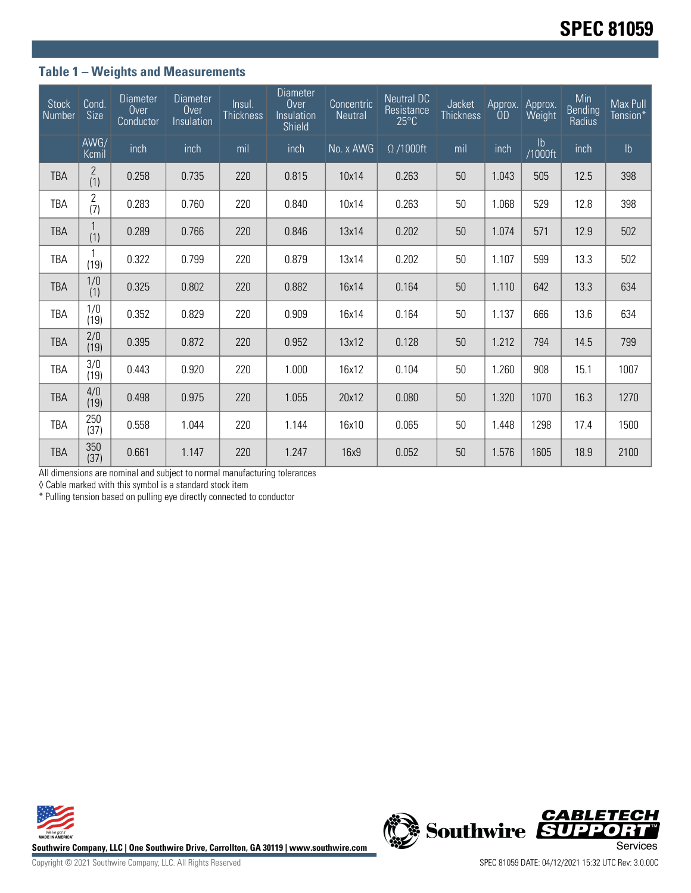## **Table 1 – Weights and Measurements**

| <b>Stock</b><br>Number | Cond.<br><b>Size</b>  | <b>Diameter</b><br>Over<br>Conductor | <b>Diameter</b><br>Over<br>Insulation | Insul.<br><b>Thickness</b> | <b>Diameter</b><br>Over<br>Insulation<br>Shield | Concentric<br><b>Neutral</b> | <b>Neutral DC</b><br>Resistance<br>$25^{\circ}$ C | Jacket<br><b>Thickness</b> | Approx.<br><b>OD</b> | Approx.<br>Weight        | Min<br>Bending<br>Radius | Max Pull<br>Tension* |
|------------------------|-----------------------|--------------------------------------|---------------------------------------|----------------------------|-------------------------------------------------|------------------------------|---------------------------------------------------|----------------------------|----------------------|--------------------------|--------------------------|----------------------|
|                        | AWG/<br>Kcmil         | inch                                 | inch                                  | mil                        | inch                                            | No. x AWG                    | $\Omega/1000$ ft                                  | mil                        | inch                 | $\mathsf{lb}$<br>/1000ft | inch                     | $\mathsf{lb}$        |
| <b>TBA</b>             | $\mathbf{2}$<br>(1)   | 0.258                                | 0.735                                 | 220                        | 0.815                                           | 10x14                        | 0.263                                             | 50                         | 1.043                | 505                      | 12.5                     | 398                  |
| TBA                    | 2<br>(7)              | 0.283                                | 0.760                                 | 220                        | 0.840                                           | 10x14                        | 0.263                                             | 50                         | 1.068                | 529                      | 12.8                     | 398                  |
| <b>TBA</b>             | (1)                   | 0.289                                | 0.766                                 | 220                        | 0.846                                           | 13x14                        | 0.202                                             | 50                         | 1.074                | 571                      | 12.9                     | 502                  |
| TBA                    | (19)                  | 0.322                                | 0.799                                 | 220                        | 0.879                                           | 13x14                        | 0.202                                             | 50                         | 1.107                | 599                      | 13.3                     | 502                  |
| <b>TBA</b>             | 1/0<br>(1)            | 0.325                                | 0.802                                 | 220                        | 0.882                                           | 16x14                        | 0.164                                             | 50                         | 1.110                | 642                      | 13.3                     | 634                  |
| <b>TBA</b>             | $\frac{1}{0}$<br>(19) | 0.352                                | 0.829                                 | 220                        | 0.909                                           | 16x14                        | 0.164                                             | 50                         | 1.137                | 666                      | 13.6                     | 634                  |
| <b>TBA</b>             | 2/0<br>(19)           | 0.395                                | 0.872                                 | 220                        | 0.952                                           | 13x12                        | 0.128                                             | 50                         | 1.212                | 794                      | 14.5                     | 799                  |
| <b>TBA</b>             | 3/0<br>(19)           | 0.443                                | 0.920                                 | 220                        | 1.000                                           | 16x12                        | 0.104                                             | 50                         | 1.260                | 908                      | 15.1                     | 1007                 |
| <b>TBA</b>             | 4/0<br>(19)           | 0.498                                | 0.975                                 | 220                        | 1.055                                           | 20x12                        | 0.080                                             | 50                         | 1.320                | 1070                     | 16.3                     | 1270                 |
| <b>TBA</b>             | 250<br>(37)           | 0.558                                | 1.044                                 | 220                        | 1.144                                           | 16x10                        | 0.065                                             | 50                         | 1.448                | 1298                     | 17.4                     | 1500                 |
| <b>TBA</b>             | 350<br>(37)           | 0.661                                | 1.147                                 | 220                        | 1.247                                           | 16x9                         | 0.052                                             | 50                         | 1.576                | 1605                     | 18.9                     | 2100                 |

All dimensions are nominal and subject to normal manufacturing tolerances

◊ Cable marked with this symbol is a standard stock item

\* Pulling tension based on pulling eye directly connected to conductor



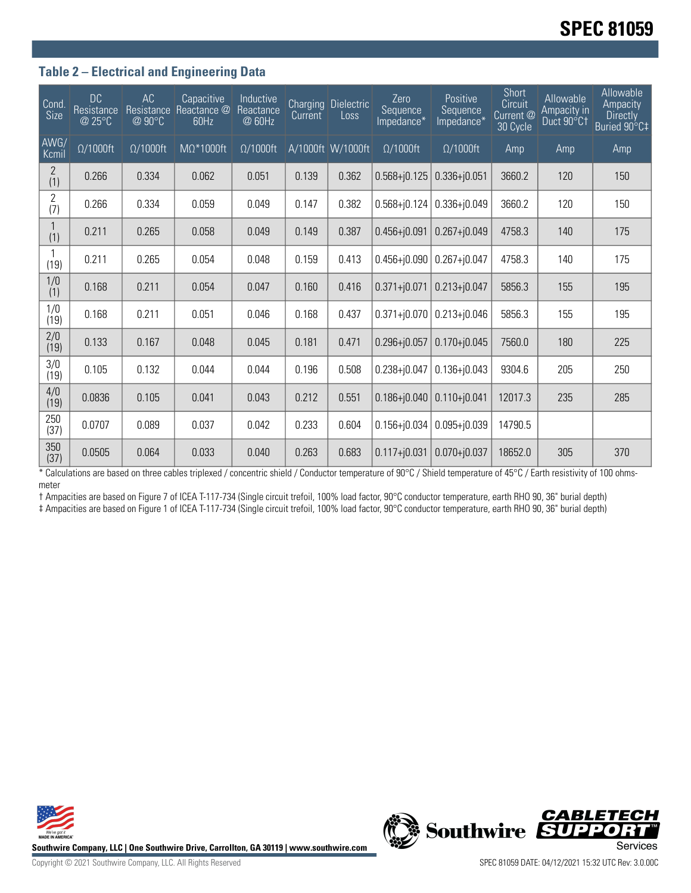## **Table 2 – Electrical and Engineering Data**

| Cond.<br>Size         | <b>DC</b><br>Resistance<br>@ 25°C | AC<br>Resistance<br>@ 90°C | Capacitive<br>Reactance @<br>60Hz | Inductive<br>Reactance<br>@ 60Hz | Current | <b>Charging Dielectric</b><br>Loss | Zero<br>Sequence<br>Impedance* | Positive<br>Sequence<br>Impedance* | Short<br>Circuit<br>Current @<br>30 Cycle | Allowable<br>Ampacity in<br>Duct 90°C1 | Allowable<br>Ampacity<br><b>Directly</b><br>Buried 90°C‡ |
|-----------------------|-----------------------------------|----------------------------|-----------------------------------|----------------------------------|---------|------------------------------------|--------------------------------|------------------------------------|-------------------------------------------|----------------------------------------|----------------------------------------------------------|
| AWG/<br>Kcmil         | $\Omega/1000$ ft                  | $\Omega/1000$ ft           | $M\Omega^*1000$ ft                | $\Omega/1000$ ft                 |         | A/1000ft W/1000ft                  | $\Omega/1000$ ft               | $\Omega/1000$ ft                   | Amp                                       | Amp                                    | Amp                                                      |
| $\overline{2}$<br>(1) | 0.266                             | 0.334                      | 0.062                             | 0.051                            | 0.139   | 0.362                              | $0.568 + j0.125$               | $0.336 + j0.051$                   | 3660.2                                    | 120                                    | 150                                                      |
| $\overline{2}$<br>(7) | 0.266                             | 0.334                      | 0.059                             | 0.049                            | 0.147   | 0.382                              | $0.568 + 0.124$                | $0.336 + j0.049$                   | 3660.2                                    | 120                                    | 150                                                      |
| (1)                   | 0.211                             | 0.265                      | 0.058                             | 0.049                            | 0.149   | 0.387                              | $0.456 + j0.091$               | $0.267 + j0.049$                   | 4758.3                                    | 140                                    | 175                                                      |
| (19)                  | 0.211                             | 0.265                      | 0.054                             | 0.048                            | 0.159   | 0.413                              | $0.456 + 0.090$                | $0.267 + j0.047$                   | 4758.3                                    | 140                                    | 175                                                      |
| 1/0<br>(1)            | 0.168                             | 0.211                      | 0.054                             | 0.047                            | 0.160   | 0.416                              | $0.371 + j0.071$               | $0.213 + j0.047$                   | 5856.3                                    | 155                                    | 195                                                      |
| 1/0<br>(19)           | 0.168                             | 0.211                      | 0.051                             | 0.046                            | 0.168   | 0.437                              | $0.371 + j0.070$               | $0.213 + j0.046$                   | 5856.3                                    | 155                                    | 195                                                      |
| 2/0<br>(19)           | 0.133                             | 0.167                      | 0.048                             | 0.045                            | 0.181   | 0.471                              | $0.296 + j0.057$               | $0.170 + j0.045$                   | 7560.0                                    | 180                                    | 225                                                      |
| 3/0<br>(19)           | 0.105                             | 0.132                      | 0.044                             | 0.044                            | 0.196   | 0.508                              | $0.238 + j0.047$               | $0.136 + j0.043$                   | 9304.6                                    | 205                                    | 250                                                      |
| 4/0<br>(19)           | 0.0836                            | 0.105                      | 0.041                             | 0.043                            | 0.212   | 0.551                              | $0.186 + 0.040$                | $0.110 + j0.041$                   | 12017.3                                   | 235                                    | 285                                                      |
| 250<br>(37)           | 0.0707                            | 0.089                      | 0.037                             | 0.042                            | 0.233   | 0.604                              | $0.156 + j0.034$               | $0.095 + j0.039$                   | 14790.5                                   |                                        |                                                          |
| 350<br>(37)           | 0.0505                            | 0.064                      | 0.033                             | 0.040                            | 0.263   | 0.683                              | $0.117 + j0.031$               | $0.070 + j0.037$                   | 18652.0                                   | 305                                    | 370                                                      |

\* Calculations are based on three cables triplexed / concentric shield / Conductor temperature of 90°C / Shield temperature of 45°C / Earth resistivity of 100 ohmsmeter

† Ampacities are based on Figure 7 of ICEA T-117-734 (Single circuit trefoil, 100% load factor, 90°C conductor temperature, earth RHO 90, 36" burial depth)

‡ Ampacities are based on Figure 1 of ICEA T-117-734 (Single circuit trefoil, 100% load factor, 90°C conductor temperature, earth RHO 90, 36" burial depth)



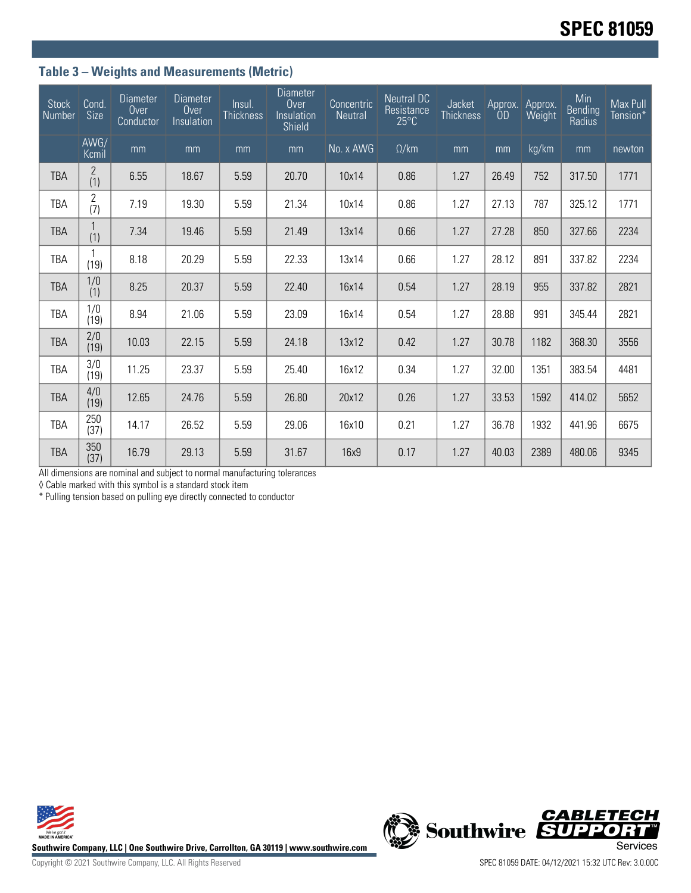# **Table 3 – Weights and Measurements (Metric)**

| <b>Stock</b><br>Number | Cond.<br>Size         | <b>Diameter</b><br>Over<br>Conductor | <b>Diameter</b><br>Over<br>Insulation | Insul.<br><b>Thickness</b> | <b>Diameter</b><br>Over<br>Insulation<br>Shield | Concentric<br><b>Neutral</b> | <b>Neutral DC</b><br>Resistance<br>$25^{\circ}$ C | Jacket<br><b>Thickness</b> | Approx.<br><b>OD</b> | Approx.<br>Weight | Min<br>Bending<br>Radius | Max Pull<br>Tension* |
|------------------------|-----------------------|--------------------------------------|---------------------------------------|----------------------------|-------------------------------------------------|------------------------------|---------------------------------------------------|----------------------------|----------------------|-------------------|--------------------------|----------------------|
|                        | AWG/<br>Kcmil         | mm                                   | mm                                    | mm                         | mm                                              | No. x AWG                    | $\Omega$ /km                                      | mm                         | mm                   | kg/km             | mm                       | newton               |
| <b>TBA</b>             | 2<br>(1)              | 6.55                                 | 18.67                                 | 5.59                       | 20.70                                           | 10x14                        | 0.86                                              | 1.27                       | 26.49                | 752               | 317.50                   | 1771                 |
| <b>TBA</b>             | $\overline{2}$<br>(7) | 7.19                                 | 19.30                                 | 5.59                       | 21.34                                           | 10x14                        | 0.86                                              | 1.27                       | 27.13                | 787               | 325.12                   | 1771                 |
| <b>TBA</b>             | (1)                   | 7.34                                 | 19.46                                 | 5.59                       | 21.49                                           | 13x14                        | 0.66                                              | 1.27                       | 27.28                | 850               | 327.66                   | 2234                 |
| TBA                    | (19)                  | 8.18                                 | 20.29                                 | 5.59                       | 22.33                                           | 13x14                        | 0.66                                              | 1.27                       | 28.12                | 891               | 337.82                   | 2234                 |
| <b>TBA</b>             | 1/0<br>(1)            | 8.25                                 | 20.37                                 | 5.59                       | 22.40                                           | 16x14                        | 0.54                                              | 1.27                       | 28.19                | 955               | 337.82                   | 2821                 |
| <b>TBA</b>             | $\frac{1}{0}$<br>(19) | 8.94                                 | 21.06                                 | 5.59                       | 23.09                                           | 16x14                        | 0.54                                              | 1.27                       | 28.88                | 991               | 345.44                   | 2821                 |
| <b>TBA</b>             | 2/0<br>(19)           | 10.03                                | 22.15                                 | 5.59                       | 24.18                                           | 13x12                        | 0.42                                              | 1.27                       | 30.78                | 1182              | 368.30                   | 3556                 |
| <b>TBA</b>             | 3/0<br>(19)           | 11.25                                | 23.37                                 | 5.59                       | 25.40                                           | 16x12                        | 0.34                                              | 1.27                       | 32.00                | 1351              | 383.54                   | 4481                 |
| <b>TBA</b>             | 4/0<br>(19)           | 12.65                                | 24.76                                 | 5.59                       | 26.80                                           | 20x12                        | 0.26                                              | 1.27                       | 33.53                | 1592              | 414.02                   | 5652                 |
| <b>TBA</b>             | 250<br>(37)           | 14.17                                | 26.52                                 | 5.59                       | 29.06                                           | 16x10                        | 0.21                                              | 1.27                       | 36.78                | 1932              | 441.96                   | 6675                 |
| <b>TBA</b>             | 350<br>(37)           | 16.79                                | 29.13                                 | 5.59                       | 31.67                                           | 16x9                         | 0.17                                              | 1.27                       | 40.03                | 2389              | 480.06                   | 9345                 |

All dimensions are nominal and subject to normal manufacturing tolerances

◊ Cable marked with this symbol is a standard stock item

\* Pulling tension based on pulling eye directly connected to conductor